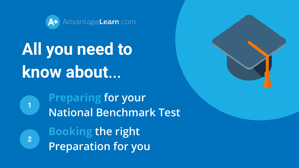

# **All you need to know about**…

**Preparing for your National Benchmark Test**

**2**

**1**

**Booking the right Preparation for you**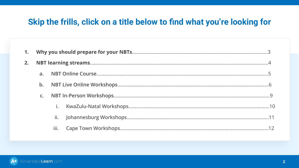## **Skip the frills, click on a title below to find what you're looking for**

| 2. |                |      |  |  |
|----|----------------|------|--|--|
|    |                |      |  |  |
|    | $\mathbf b$ .  |      |  |  |
|    | $\mathsf{C}$ . |      |  |  |
|    |                | İ.   |  |  |
|    |                | ii.  |  |  |
|    |                | iii. |  |  |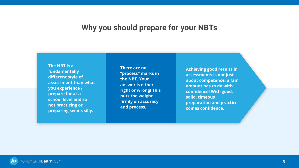#### **Why you should prepare for your NBTs**

<span id="page-2-0"></span>**The NBT is a fundamentally different style of assessment than what you experience / prepare for at a school level and so not practicing or preparing seems silly.**

**There are no "process" marks in the NBT. Your answer is either right or wrong! This puts the weight firmly on accuracy and process.**

**Achieving good results in assessments is not just about competence, a fair amount has to do with confidence! With good, solid, timeous preparation and practice comes confidence.** 

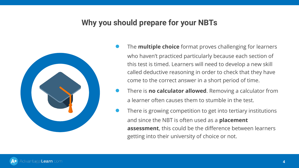## **Why you should prepare for your NBTs**



- The **multiple choice** format proves challenging for learners who haven't practiced particularly because each section of this test is timed. Learners will need to develop a new skill called deductive reasoning in order to check that they have come to the correct answer in a short period of time.
- There is **no calculator allowed**. Removing a calculator from a learner often causes them to stumble in the test.
- There is growing competition to get into tertiary institutions and since the NBT is often used as a **placement assessment**, this could be the difference between learners getting into their university of choice or not.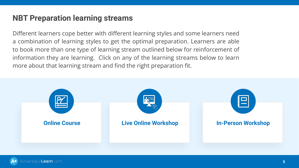#### <span id="page-4-0"></span>**NBT Preparation learning streams**

Different learners cope better with different learning styles and some learners need a combination of learning styles to get the optimal preparation. Learners are able to book more than one type of learning stream outlined below for reinforcement of information they are learning. Click on any of the learning streams below to learn more about that learning stream and find the right preparation fit.

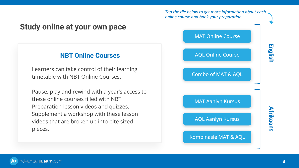#### *Tap the tile below to get more information about each online course and book your preparation.*

#### <span id="page-5-0"></span>**Study online at your own pace**

#### **NBT Online Courses**

Learners can take control of their learning timetable with NBT Online Courses.

Pause, play and rewind with a year's access to these online courses filled with NBT Preparation lesson videos and quizzes. Supplement a workshop with these lesson videos that are broken up into bite sized pieces.

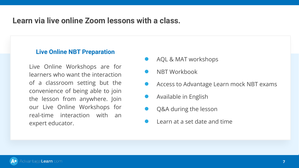#### <span id="page-6-0"></span>**Learn via live online Zoom lessons with a class.**

#### **Live Online NBT Preparation**

Live Online Workshops are for learners who want the interaction of a classroom setting but the convenience of being able to join the lesson from anywhere. Join our Live Online Workshops for real-time interaction with an expert educator.

- AQL & MAT workshops
- NBT Workbook
- Access to Advantage Learn mock NBT exams
- Available in English
- Q&A during the lesson
- Learn at a set date and time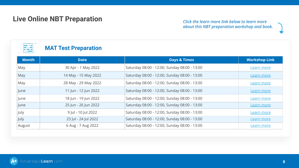#### **Live Online NBT Preparation**

#### *Click the learn more link below to learn more about this NBT preparation workshop and book.*

#### **MAT Test Preparation**

| <b>Month</b> | <b>Date</b>          | <b>Days &amp; Times</b>                      | <b>Workshop Link</b> |
|--------------|----------------------|----------------------------------------------|----------------------|
| May          | 30 Apr - 1 May 2022  | Saturday 08:00 - 12:00, Sunday 08:00 - 13:00 | Learn more           |
| May          | 14 May - 15 May 2022 | Saturday 08:00 - 12:00, Sunday 08:00 - 13:00 | <b>Learn more</b>    |
| May          | 28 May - 29 May 2022 | Saturday 08:00 - 12:00, Sunday 08:00 - 13:00 | <b>Learn more</b>    |
| June         | 11 Jun - 12 Jun 2022 | Saturday 08:00 - 12:00, Sunday 08:00 - 13:00 | Learn more           |
| June         | 18 Jun - 19 Jun 2022 | Saturday 08:00 - 12:00, Sunday 08:00 - 13:00 | Learn more           |
| June         | 25 Jun - 26 Jun 2022 | Saturday 08:00 - 12:00, Sunday 08:00 - 13:00 | <b>Learn more</b>    |
| July         | 9 Jul - 10 Jul 2022  | Saturday 08:00 - 12:00, Sunday 08:00 - 13:00 | <b>Learn more</b>    |
| July         | 23 Jul - 24 Jul 2022 | Saturday 08:00 - 12:00, Sunday 08:00 - 13:00 | Learn more           |
| August       | 6 Aug - 7 Aug 2022   | Saturday 08:00 - 12:00, Sunday 08:00 - 13:00 | <b>Learn more</b>    |

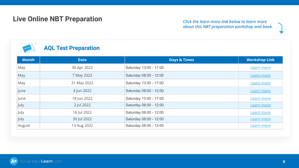#### **Live Online NBT Preparation**

#### *Click the learn more link below to learn more about this NBT preparation workshop and book.*



#### **AQL Test Preparation**

| Month  | <b>Date</b> | <b>Days &amp; Times</b> | <b>Workshop Link</b> |
|--------|-------------|-------------------------|----------------------|
| May    | 30 Apr 2022 | Saturday 13:00 - 17:00  | Learn more           |
| May    | 7 May 2022  | Saturday 08:00 - 12:00  | <b>Learn more</b>    |
| May    | 21 May 2022 | Saturday 13:00 - 17:00  | <b>Learn more</b>    |
| June   | 4 Jun 2022  | Saturday 08:00 - 12:00  | <b>Learn more</b>    |
| June   | 18 Jun 2022 | Saturday 13:00 - 17:00  | <b>Learn more</b>    |
| July   | 2 Jul 2022  | Saturday 08:00 - 12:00  | <b>Learn more</b>    |
| July   | 16 Jul 2022 | Saturday 08:00 - 12:00  | Learn more           |
| July   | 30 Jul 2022 | Saturday 08:00 - 12:00  | Learn more           |
| August | 13 Aug 2022 | Saturday 08:00 - 12:00  | Learn more           |

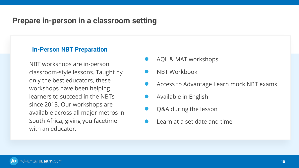## <span id="page-9-0"></span>**Prepare in-person in a classroom setting**

#### **In-Person NBT Preparation**

NBT workshops are in-person classroom-style lessons. Taught by only the best educators, these workshops have been helping learners to succeed in the NBTs since 2013. Our workshops are available across all major metros in South Africa, giving you facetime with an educator.

- AQL & MAT workshops
- NBT Workbook
- Access to Advantage Learn mock NBT exams
- Available in English
- Q&A during the lesson
- Learn at a set date and time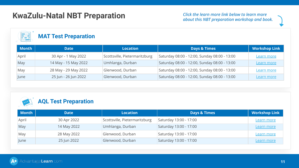#### <span id="page-10-0"></span>**KwaZulu-Natal NBT Preparation**

*Click the learn more link below to learn more about this NBT preparation workshop and book.*

| $\begin{array}{c}\n\cdots \\ \hline\n\cdots \\ \hline\n\cdots \\ \hline\n\cdots\n\end{array}$ | <b>MAT Test Preparation</b> |                               |                                              |                      |
|-----------------------------------------------------------------------------------------------|-----------------------------|-------------------------------|----------------------------------------------|----------------------|
| <b>Month</b>                                                                                  | <b>Date</b>                 | <b>Location</b>               | <b>Days &amp; Times</b>                      | <b>Workshop Link</b> |
| April                                                                                         | 30 Apr - 1 May 2022         | Scottsville, Pietermaritzburg | Saturday 08:00 - 12:00, Sunday 08:00 - 13:00 | Learn more           |
| May                                                                                           | 14 May - 15 May 2022        | Umhlanga, Durban              | Saturday 08:00 - 12:00, Sunday 08:00 - 13:00 | <b>Learn more</b>    |
| May                                                                                           | 28 May - 29 May 2022        | Glenwood, Durban              | Saturday 08:00 - 12:00, Sunday 08:00 - 13:00 | Learn more           |
| lune                                                                                          | 25 Jun - 26 Jun 2022        | Glenwood, Durban              | Saturday 08:00 - 12:00, Sunday 08:00 - 13:00 | Learn more           |

#### **AQL Test Preparation**

| <b>Month</b> | <b>Date</b> | <b>Location</b>               | <b>Days &amp; Times</b> | <b>Workshop Link</b> |
|--------------|-------------|-------------------------------|-------------------------|----------------------|
| April        | 30 Apr 2022 | Scottsville, Pietermaritzburg | Saturday 13:00 - 17:00  | <b>Learn more</b>    |
| May          | 14 May 2022 | Umhlanga, Durban              | Saturday 13:00 - 17:00  | Learn more           |
| May          | 28 May 2022 | Glenwood, Durban              | Saturday 13:00 - 17:00  | Learn more           |
| June         | 25 Jun 2022 | Glenwood, Durban              | Saturday 13:00 - 17:00  | Learn more           |

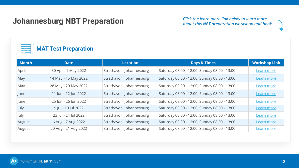# <span id="page-11-0"></span>**Johannesburg NBT Preparation** *Click the learn more link below to learn more about this NBT preparation workshop and book.*



| <b>Month</b> | <b>Date</b>          | <b>Location</b>          | <b>Days &amp; Times</b>                      | <b>Workshop Link</b> |
|--------------|----------------------|--------------------------|----------------------------------------------|----------------------|
| April        | 30 Apr - 1 May 2022  | Strathavon, Johannesburg | Saturday 08:00 - 12:00, Sunday 08:00 - 13:00 | Learn more           |
| May          | 14 May - 15 May 2022 | Strathavon, Johannesburg | Saturday 08:00 - 12:00, Sunday 08:00 - 13:00 | <u>Learn more</u>    |
| May          | 28 May - 29 May 2022 | Strathavon, Johannesburg | Saturday 08:00 - 12:00, Sunday 08:00 - 13:00 | Learn more           |
| June         | 11 Jun - 12 Jun 2022 | Strathavon, Johannesburg | Saturday 08:00 - 12:00, Sunday 08:00 - 13:00 | Learn more           |
| lune         | 25 Jun - 26 Jun 2022 | Strathavon, Johannesburg | Saturday 08:00 - 12:00, Sunday 08:00 - 13:00 | Learn more           |
| July         | 9 Jul - 10 Jul 2022  | Strathavon, Johannesburg | Saturday 08:00 - 12:00, Sunday 08:00 - 13:00 | <u>Learn more</u>    |
| July         | 23 Jul - 24 Jul 2022 | Strathavon, Johannesburg | Saturday 08:00 - 12:00, Sunday 08:00 - 13:00 | Learn more           |
| August       | 6 Aug - 7 Aug 2022   | Strathavon, Johannesburg | Saturday 08:00 - 12:00, Sunday 08:00 - 13:00 | <b>Learn more</b>    |
| August       | 20 Aug - 21 Aug 2022 | Strathavon, Johannesburg | Saturday 08:00 - 12:00, Sunday 08:00 - 13:00 | <u>Learn more</u>    |

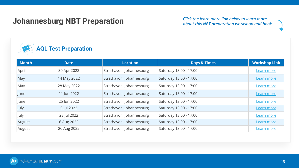#### **Johannesburg NBT Preparation**

*Click the learn more link below to learn more about this NBT preparation workshop and book.*



| <b>Month</b> | <b>Date</b> | <b>Location</b>          | <b>Days &amp; Times</b> | <b>Workshop Link</b> |
|--------------|-------------|--------------------------|-------------------------|----------------------|
| April        | 30 Apr 2022 | Strathavon, Johannesburg | Saturday 13:00 - 17:00  | Learn more           |
| May          | 14 May 2022 | Strathavon, Johannesburg | Saturday 13:00 - 17:00  | <b>Learn more</b>    |
| May          | 28 May 2022 | Strathavon, Johannesburg | Saturday 13:00 - 17:00  | Learn more           |
| June         | 11 Jun 2022 | Strathavon, Johannesburg | Saturday 13:00 - 17:00  | Learn more           |
| June         | 25 Jun 2022 | Strathavon, Johannesburg | Saturday 13:00 - 17:00  | Learn more           |
| July         | 9 Jul 2022  | Strathavon, Johannesburg | Saturday 13:00 - 17:00  | Learn more           |
| July         | 23 Jul 2022 | Strathavon, Johannesburg | Saturday 13:00 - 17:00  | Learn more           |
| August       | 6 Aug 2022  | Strathavon, Johannesburg | Saturday 13:00 - 17:00  | Learn more           |
| August       | 20 Aug 2022 | Strathavon, Johannesburg | Saturday 13:00 - 17:00  | Learn more           |

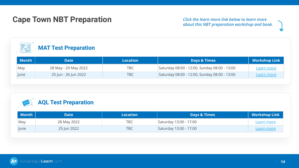## <span id="page-13-0"></span>**Cape Town NBT Preparation**

*Click the learn more link below to learn more about this NBT preparation workshop and book.*

| $\begin{array}{c}\n\bullet\bullet\text{---}\bullet\text{---}\bullet\text{---}\bullet\text{---}\bullet\text{---}\bullet\text{---}\bullet\text{---}\bullet\text{---}\bullet\text{---}\bullet\text{---}\bullet\text{---}\bullet\text{---}\bullet\text{---}\bullet\text{---}\bullet\text{---}\bullet\text{---}\bullet\text{---}\bullet\text{---}\bullet\text{---}\bullet\text{---}\bullet\text{---}\bullet\text{---}\bullet\text{---}\bullet\text{---}\bullet\text{---}\bullet\text{---}\bullet\text{---}\bullet\text{---}\bullet\text{---}\bullet\text{---}\bullet\text{---}\bullet\text{---}\bullet\text{---}\bullet\text{---}\bullet\text{---$<br><b>MAT Test Preparation</b> |                      |                 |                                              |                      |  |
|------------------------------------------------------------------------------------------------------------------------------------------------------------------------------------------------------------------------------------------------------------------------------------------------------------------------------------------------------------------------------------------------------------------------------------------------------------------------------------------------------------------------------------------------------------------------------------------------------------------------------------------------------------------------------|----------------------|-----------------|----------------------------------------------|----------------------|--|
| <b>Month</b>                                                                                                                                                                                                                                                                                                                                                                                                                                                                                                                                                                                                                                                                 | <b>Date</b>          | <b>Location</b> | <b>Days &amp; Times</b>                      | <b>Workshop Link</b> |  |
| May                                                                                                                                                                                                                                                                                                                                                                                                                                                                                                                                                                                                                                                                          | 28 May - 29 May 2022 | TBC             | Saturday 08:00 - 12:00, Sunday 08:00 - 13:00 | <u>Learn more</u>    |  |
| <b>lune</b>                                                                                                                                                                                                                                                                                                                                                                                                                                                                                                                                                                                                                                                                  | 25 Jun - 26 Jun 2022 | TBC             | Saturday 08:00 - 12:00, Sunday 08:00 - 13:00 | Learn more           |  |



| Month | Date        | Location   | <b>Days &amp; Times</b> | Workshop Link     |
|-------|-------------|------------|-------------------------|-------------------|
| May   | 28 May 2022 | TBC.       | Saturday 13:00 - 17:00  | <u>Learn more</u> |
| June  | 25 Jun 2022 | <b>TBC</b> | Saturday 13:00 - 17:00  | <u>Learn more</u> |

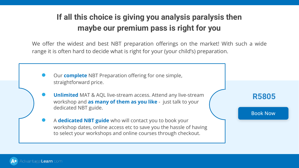# **If all this choice is giving you analysis paralysis then maybe our premium pass is right for you**

We offer the widest and best NBT preparation offerings on the market! With such a wide range it is often hard to decide what is right for your (your child's) preparation.

- Our **complete** NBT Preparation offering for one simple, straightforward price.
- **Unlimited** MAT & AQL live-stream access. Attend any live-stream workshop and **as many of them as you like** - just talk to your dedicated NBT guide.
- A **dedicated NBT guide** who will contact you to book your workshop dates, online access etc to save you the hassle of having to select your workshops and online courses through checkout.



[Book Now](https://advantagelearn.com/nbt/?add-to-cart=190474)